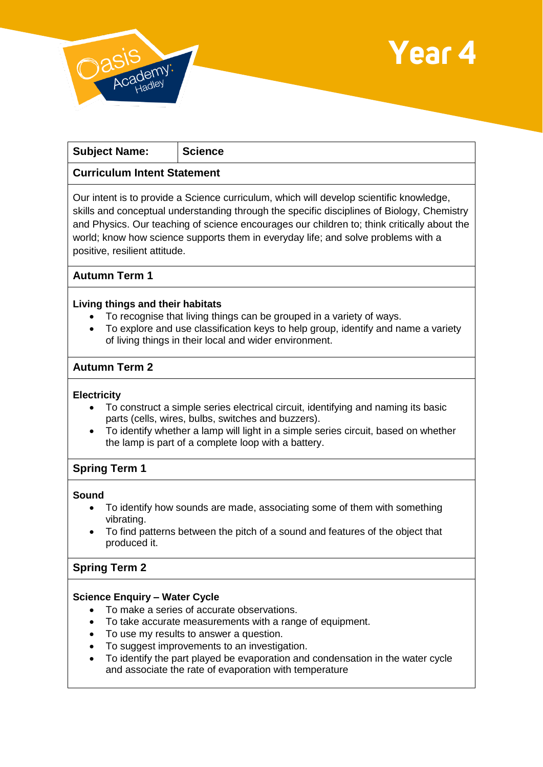



| <b>Subject Name:</b>                                                                          | <b>Science</b> |
|-----------------------------------------------------------------------------------------------|----------------|
| Curriculum Intent Statement                                                                   |                |
| $\Box$ Our intent is to provide a Science curriculum, which will develop scientific knowledge |                |

Our intent is to provide a Science curriculum, which will develop scientific knowledge, skills and conceptual understanding through the specific disciplines of Biology, Chemistry and Physics. Our teaching of science encourages our children to; think critically about the world; know how science supports them in everyday life; and solve problems with a positive, resilient attitude.

## **Autumn Term 1**

#### **Living things and their habitats**

- To recognise that living things can be grouped in a variety of ways.
- To explore and use classification keys to help group, identify and name a variety of living things in their local and wider environment.

## **Autumn Term 2**

#### **Electricity**

- To construct a simple series electrical circuit, identifying and naming its basic parts (cells, wires, bulbs, switches and buzzers).
- To identify whether a lamp will light in a simple series circuit, based on whether the lamp is part of a complete loop with a battery.

## **Spring Term 1**

#### **Sound**

- To identify how sounds are made, associating some of them with something vibrating.
- To find patterns between the pitch of a sound and features of the object that produced it.

## **Spring Term 2**

## **Science Enquiry – Water Cycle**

- To make a series of accurate observations.
- To take accurate measurements with a range of equipment.
- To use my results to answer a question.
- To suggest improvements to an investigation.
- To identify the part played be evaporation and condensation in the water cycle and associate the rate of evaporation with temperature